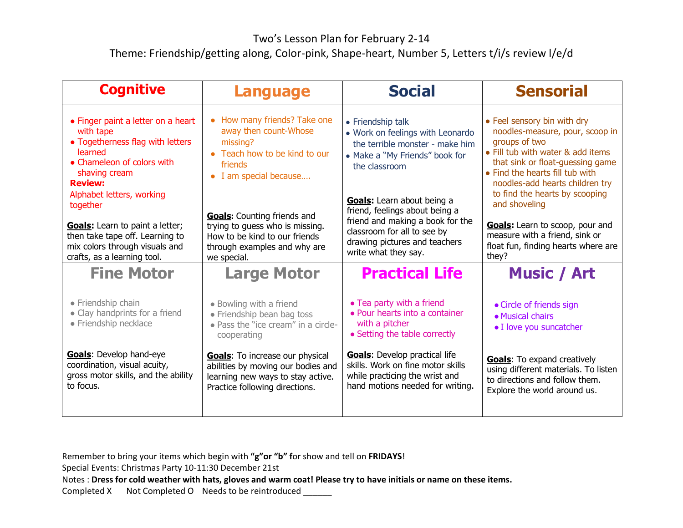## Two's Lesson Plan for February 2-14

Theme: Friendship/getting along, Color-pink, Shape-heart, Number 5, Letters t/i/s review l/e/d

| <b>Cognitive</b>                                                                                                                                                                                                                                                                                                                                       | <b>Language</b>                                                                                                                                                                                                                                                                                  | <b>Social</b>                                                                                                                                                                                                                                                                                                                           | <b>Sensorial</b>                                                                                                                                                                                                                                                                                                                                                                                              |
|--------------------------------------------------------------------------------------------------------------------------------------------------------------------------------------------------------------------------------------------------------------------------------------------------------------------------------------------------------|--------------------------------------------------------------------------------------------------------------------------------------------------------------------------------------------------------------------------------------------------------------------------------------------------|-----------------------------------------------------------------------------------------------------------------------------------------------------------------------------------------------------------------------------------------------------------------------------------------------------------------------------------------|---------------------------------------------------------------------------------------------------------------------------------------------------------------------------------------------------------------------------------------------------------------------------------------------------------------------------------------------------------------------------------------------------------------|
| • Finger paint a letter on a heart<br>with tape<br>• Togetherness flag with letters<br>learned<br>• Chameleon of colors with<br>shaving cream<br><b>Review:</b><br>Alphabet letters, working<br>together<br><b>Goals:</b> Learn to paint a letter;<br>then take tape off. Learning to<br>mix colors through visuals and<br>crafts, as a learning tool. | • How many friends? Take one<br>away then count-Whose<br>missing?<br>• Teach how to be kind to our<br>friends<br>• I am special because<br><b>Goals:</b> Counting friends and<br>trying to guess who is missing.<br>How to be kind to our friends<br>through examples and why are<br>we special. | • Friendship talk<br>• Work on feelings with Leonardo<br>the terrible monster - make him<br>• Make a "My Friends" book for<br>the classroom<br>Goals: Learn about being a<br>friend, feelings about being a<br>friend and making a book for the<br>classroom for all to see by<br>drawing pictures and teachers<br>write what they say. | • Feel sensory bin with dry<br>noodles-measure, pour, scoop in<br>groups of two<br>• Fill tub with water & add items<br>that sink or float-quessing game<br>• Find the hearts fill tub with<br>noodles-add hearts children try<br>to find the hearts by scooping<br>and shoveling<br><b>Goals:</b> Learn to scoop, pour and<br>measure with a friend, sink or<br>float fun, finding hearts where are<br>they? |
| <b>Fine Motor</b>                                                                                                                                                                                                                                                                                                                                      | <b>Large Motor</b>                                                                                                                                                                                                                                                                               | <b>Practical Life</b>                                                                                                                                                                                                                                                                                                                   | <b>Music / Art</b>                                                                                                                                                                                                                                                                                                                                                                                            |
| • Friendship chain<br>• Clay handprints for a friend<br>• Friendship necklace                                                                                                                                                                                                                                                                          | • Bowling with a friend<br>• Friendship bean bag toss<br>• Pass the "ice cream" in a circle-<br>cooperating                                                                                                                                                                                      | • Tea party with a friend<br>• Pour hearts into a container<br>with a pitcher<br>• Setting the table correctly                                                                                                                                                                                                                          | • Circle of friends sign<br>• Musical chairs<br>• I love you suncatcher                                                                                                                                                                                                                                                                                                                                       |
| Goals: Develop hand-eye<br>coordination, visual acuity,<br>gross motor skills, and the ability<br>to focus.                                                                                                                                                                                                                                            | <b>Goals:</b> To increase our physical<br>abilities by moving our bodies and<br>learning new ways to stay active.<br>Practice following directions.                                                                                                                                              | <b>Goals:</b> Develop practical life<br>skills. Work on fine motor skills<br>while practicing the wrist and<br>hand motions needed for writing.                                                                                                                                                                                         | <b>Goals:</b> To expand creatively<br>using different materials. To listen<br>to directions and follow them.<br>Explore the world around us.                                                                                                                                                                                                                                                                  |

Remember to bring your items which begin with **"g"or "b" f**or show and tell on **FRIDAYS**!

Special Events: Christmas Party 10-11:30 December 21st

Notes : **Dress for cold weather with hats, gloves and warm coat! Please try to have initials or name on these items.**

Completed X Not Completed O Needs to be reintroduced \_\_\_\_\_\_